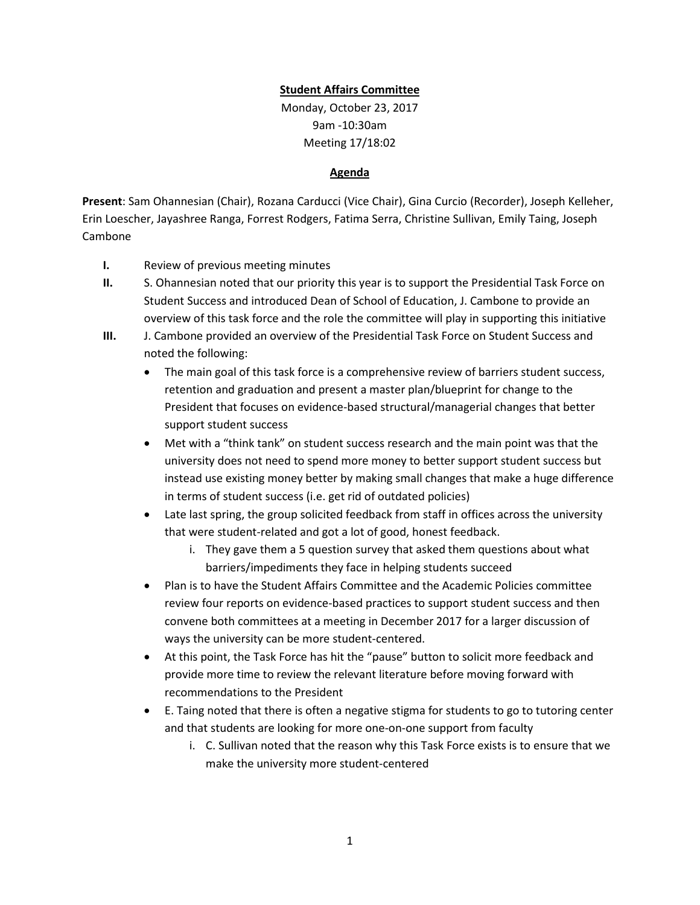## **Student Affairs Committee**

Monday, October 23, 2017 9am -10:30am Meeting 17/18:02

## **Agenda**

**Present**: Sam Ohannesian (Chair), Rozana Carducci (Vice Chair), Gina Curcio (Recorder), Joseph Kelleher, Erin Loescher, Jayashree Ranga, Forrest Rodgers, Fatima Serra, Christine Sullivan, Emily Taing, Joseph Cambone

- **I.** Review of previous meeting minutes
- **II.** S. Ohannesian noted that our priority this year is to support the Presidential Task Force on Student Success and introduced Dean of School of Education, J. Cambone to provide an overview of this task force and the role the committee will play in supporting this initiative
- **III.** J. Cambone provided an overview of the Presidential Task Force on Student Success and noted the following:
	- The main goal of this task force is a comprehensive review of barriers student success, retention and graduation and present a master plan/blueprint for change to the President that focuses on evidence-based structural/managerial changes that better support student success
	- Met with a "think tank" on student success research and the main point was that the university does not need to spend more money to better support student success but instead use existing money better by making small changes that make a huge difference in terms of student success (i.e. get rid of outdated policies)
	- Late last spring, the group solicited feedback from staff in offices across the university that were student-related and got a lot of good, honest feedback.
		- i. They gave them a 5 question survey that asked them questions about what barriers/impediments they face in helping students succeed
	- Plan is to have the Student Affairs Committee and the Academic Policies committee review four reports on evidence-based practices to support student success and then convene both committees at a meeting in December 2017 for a larger discussion of ways the university can be more student-centered.
	- At this point, the Task Force has hit the "pause" button to solicit more feedback and provide more time to review the relevant literature before moving forward with recommendations to the President
	- E. Taing noted that there is often a negative stigma for students to go to tutoring center and that students are looking for more one-on-one support from faculty
		- i. C. Sullivan noted that the reason why this Task Force exists is to ensure that we make the university more student-centered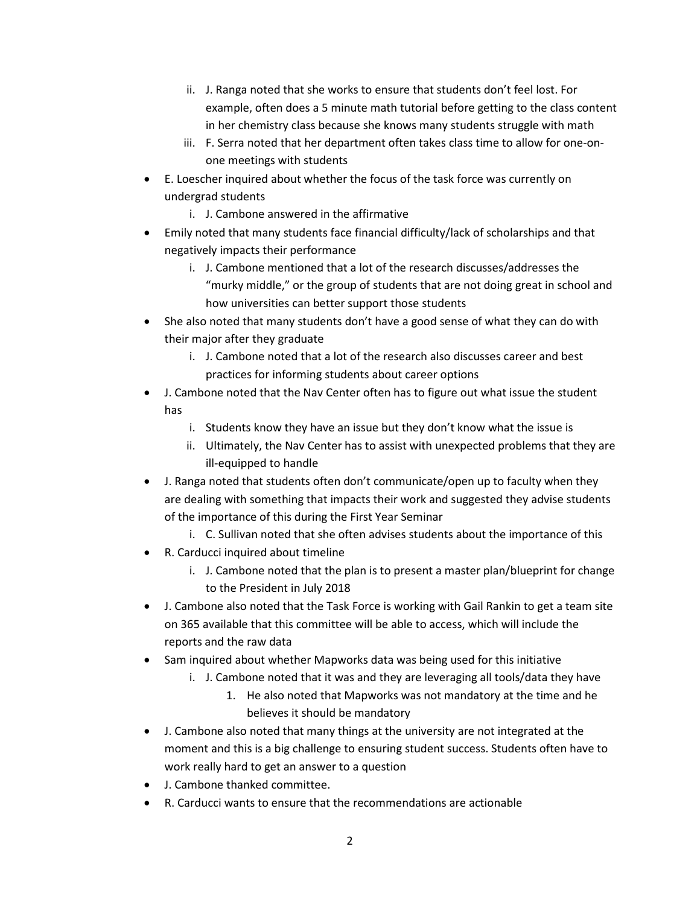- ii. J. Ranga noted that she works to ensure that students don't feel lost. For example, often does a 5 minute math tutorial before getting to the class content in her chemistry class because she knows many students struggle with math
- iii. F. Serra noted that her department often takes class time to allow for one-onone meetings with students
- E. Loescher inquired about whether the focus of the task force was currently on undergrad students
	- i. J. Cambone answered in the affirmative
- Emily noted that many students face financial difficulty/lack of scholarships and that negatively impacts their performance
	- i. J. Cambone mentioned that a lot of the research discusses/addresses the "murky middle," or the group of students that are not doing great in school and how universities can better support those students
- She also noted that many students don't have a good sense of what they can do with their major after they graduate
	- i. J. Cambone noted that a lot of the research also discusses career and best practices for informing students about career options
- J. Cambone noted that the Nav Center often has to figure out what issue the student has
	- i. Students know they have an issue but they don't know what the issue is
	- ii. Ultimately, the Nav Center has to assist with unexpected problems that they are ill-equipped to handle
- J. Ranga noted that students often don't communicate/open up to faculty when they are dealing with something that impacts their work and suggested they advise students of the importance of this during the First Year Seminar
	- i. C. Sullivan noted that she often advises students about the importance of this
- R. Carducci inquired about timeline
	- i. J. Cambone noted that the plan is to present a master plan/blueprint for change to the President in July 2018
- J. Cambone also noted that the Task Force is working with Gail Rankin to get a team site on 365 available that this committee will be able to access, which will include the reports and the raw data
- Sam inquired about whether Mapworks data was being used for this initiative
	- i. J. Cambone noted that it was and they are leveraging all tools/data they have
		- 1. He also noted that Mapworks was not mandatory at the time and he believes it should be mandatory
- J. Cambone also noted that many things at the university are not integrated at the moment and this is a big challenge to ensuring student success. Students often have to work really hard to get an answer to a question
- J. Cambone thanked committee.
- R. Carducci wants to ensure that the recommendations are actionable